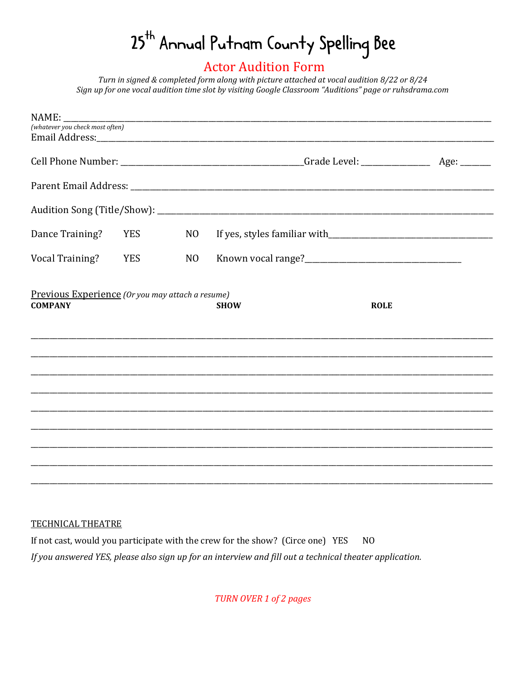## 25<sup>th</sup> Annual Putnam County Spelling Bee

## **Actor Audition Form**

Turn in signed & completed form along with picture attached at vocal audition 8/22 or 8/24 Sign up for one vocal audition time slot by visiting Google Classroom "Auditions" page or ruhsdrama.com

| NAME:                                                              |            |                 |             |             |  |
|--------------------------------------------------------------------|------------|-----------------|-------------|-------------|--|
| (whatever you check most often)                                    |            |                 |             |             |  |
|                                                                    |            |                 |             |             |  |
|                                                                    |            |                 |             |             |  |
|                                                                    |            |                 |             |             |  |
|                                                                    |            |                 |             |             |  |
| Dance Training?                                                    | <b>YES</b> | N <sub>O</sub>  |             |             |  |
| Vocal Training?                                                    | <b>YES</b> | NO <sub>1</sub> |             |             |  |
| Previous Experience (Or you may attach a resume)<br><b>COMPANY</b> |            |                 | <b>SHOW</b> | <b>ROLE</b> |  |
|                                                                    |            |                 |             |             |  |
|                                                                    |            |                 |             |             |  |
|                                                                    |            |                 |             |             |  |
|                                                                    |            |                 |             |             |  |
|                                                                    |            |                 |             |             |  |
|                                                                    |            |                 |             |             |  |
|                                                                    |            |                 |             |             |  |

## TECHNICAL THEATRE

 $N<sub>0</sub>$ If not cast, would you participate with the crew for the show? (Circe one) YES If you answered YES, please also sign up for an interview and fill out a technical theater application.

**TURN OVER 1 of 2 pages**